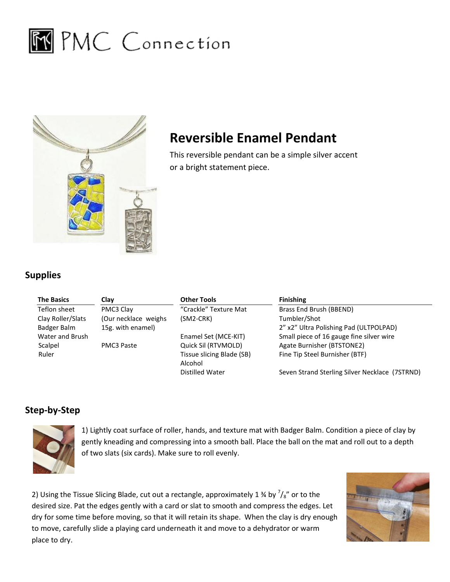



## Reversible Enamel Pendant

## Supplies

| pplies             |                      | This reversible pendant can be a simple silver accent<br>or a bright statement piece. |                                                |
|--------------------|----------------------|---------------------------------------------------------------------------------------|------------------------------------------------|
| <b>The Basics</b>  | Clay                 | <b>Other Tools</b>                                                                    | <b>Finishing</b>                               |
| Teflon sheet       | PMC3 Clay            | "Crackle" Texture Mat                                                                 | Brass End Brush (BBEND)                        |
| Clay Roller/Slats  | (Our necklace weighs | $(SM2-CRK)$                                                                           | Tumbler/Shot                                   |
| <b>Badger Balm</b> | 15g. with enamel)    |                                                                                       | 2" x2" Ultra Polishing Pad (ULTPOLPAD)         |
| Water and Brush    |                      | Enamel Set (MCE-KIT)                                                                  | Small piece of 16 gauge fine silver wire       |
| Scalpel            | PMC3 Paste           | Quick Sil (RTVMOLD)                                                                   | Agate Burnisher (BTSTONE2)                     |
| Ruler              |                      | Tissue slicing Blade (SB)                                                             | Fine Tip Steel Burnisher (BTF)                 |
|                    |                      | Alcohol                                                                               |                                                |
|                    |                      | <b>Distilled Water</b>                                                                | Seven Strand Sterling Silver Necklace (7STRND) |
| ep-by-Step         |                      |                                                                                       |                                                |

## Step-by-Step



1) Lightly coat surface of roller, hands, and texture mat with Badger Balm. Condition a piece of clay by gently kneading and compressing into a smooth ball. Place the ball on the mat and roll out to a depth of two slats ( gently kneading and compressing into a smooth ball. Place the ball on the mat and roll out to a depth of two slats (six cards). Make sure to roll evenly.

2) Using the Tissue Slicing Blade, cut out a rectangle, approximately 1 % by  $\gamma_s$ " or to the desired size. Pat the edges gently with a card or slat to smooth and compress the edges. Let desired size. Pat the edges gently with a card or slat to smooth and compress the edges. Let<br>dry for some time before moving, so that it will retain its shape. When the clay is dry enough to move, carefully slide a playing card underneath it and move to a dehydrator or warm place to dry.

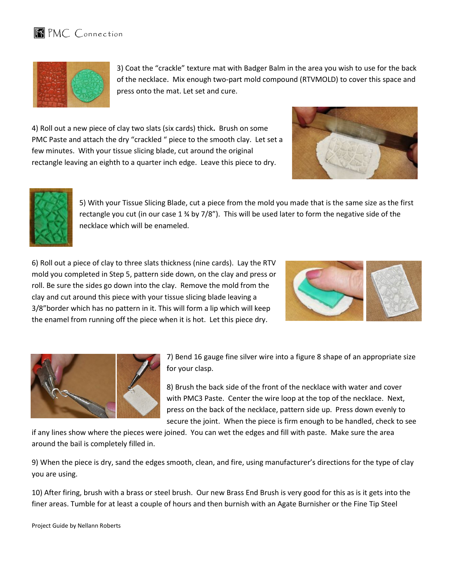



3) Coat the "crackle" texture mat with Badger Balm in the area you wish to use for the back of the necklace. Mix enough two-part mold compound (RTVMOLD) to cover this space and press onto the mat. Let set and cure.

4) Roll out a new piece of clay two slats (six cards) thick. Brush on some PMC Paste and attach the dry "crackled " piece to the smooth clay. Let set a few minutes. With your tissue slicing blade, cut around the original rectangle leaving an eighth to a quarter inch edge. Leave this piece to dry. minutes. With your tissue slicing blade, cut around the original<br>angle leaving an eighth to a quarter inch edge. Leave this piece to dry.<br>B) With your Tissue Slicing Blade, cut a piece from the mold you made that is the sa





rectangle you cut (in our case 1 % by 7/8"). This will be used later to form the negative side of the necklace which will be enameled.

6) Roll out a piece of clay to three slats thickness (nine cards). Lay the RTV mold you completed in Step 5, pattern side down, on the clay and press or roll. Be sure the sides go down into the clay. Remove the mold from the clay and cut around this piece with your tissue slicing blade leaving a 3/8"border which has no pattern in it. This will form a lip which will keep the enamel from running off the piece when it is hot. Let this piece dry.





7) Bend 16 gauge fine silver wire into a figure 8 shape of an appropriate size for your clasp. your7) Bend 16 gauge fine silver wire into a figure 8 shape of an appropriate<br>for your clasp.<br>8) Brush the back side of the front of the necklace with water and cover

with PMC PMC3 Paste. Center the wire loop at the top of the necklace. Next, with PMC3 Paste. Center the wire loop at the top of the necklace. Next,<br>press on the back of the necklace, pattern side up. Press down evenly to secure the joint. When the piece is firm enough to be handled, check to see

if any lines show where the pieces were joined. You can wet the edges and fill with paste. Make sure the area around the bail is completely filled in. . When the piece is firm enough to be handled, check<br>wet the edges and fill with paste. Make sure the area<br>and fire, using manufacturer's directions for the type o

9) When the piece is dry, sand the edges smooth, clean, and fire, using manufacturer's directions for the type of clay you are using.

10) After firing, brush with a brass or steel brush. Our new Brass End Brush is very good for this as is it gets into the<br>finer areas. Tumble for at least a couple of hours and then burnish with an Agate Burnisher or the F finer areas. Tumble for at least a couple of hours and then burnish with an Agate Burnisher or

Project Guide by Nellann Roberts